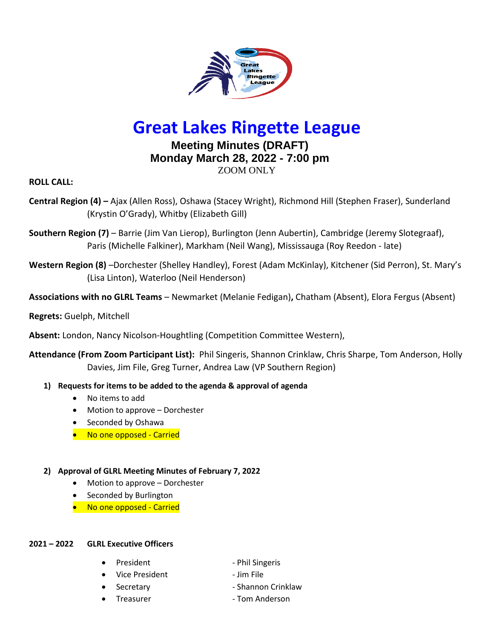

# **Great Lakes Ringette League**

# **Meeting Minutes (DRAFT) Monday March 28, 2022 - 7:00 pm** ZOOM ONLY

**ROLL CALL:** 

- **Central Region (4) –** Ajax (Allen Ross), Oshawa (Stacey Wright), Richmond Hill (Stephen Fraser), Sunderland (Krystin O'Grady), Whitby (Elizabeth Gill)
- **Southern Region (7)**  Barrie (Jim Van Lierop), Burlington (Jenn Aubertin), Cambridge (Jeremy Slotegraaf), Paris (Michelle Falkiner), Markham (Neil Wang), Mississauga (Roy Reedon - late)
- **Western Region (8)** –Dorchester (Shelley Handley), Forest (Adam McKinlay), Kitchener (Sid Perron), St. Mary's (Lisa Linton), Waterloo (Neil Henderson)
- **Associations with no GLRL Teams**  Newmarket (Melanie Fedigan)**,** Chatham (Absent), Elora Fergus (Absent)

## **Regrets:** Guelph, Mitchell

**Absent:** London, Nancy Nicolson-Houghtling (Competition Committee Western),

**Attendance (From Zoom Participant List):** Phil Singeris, Shannon Crinklaw, Chris Sharpe, Tom Anderson, Holly Davies, Jim File, Greg Turner, Andrea Law (VP Southern Region)

- **1) Requests for items to be added to the agenda & approval of agenda**
	- No items to add
	- Motion to approve Dorchester
	- Seconded by Oshawa
	- No one opposed Carried

## **2) Approval of GLRL Meeting Minutes of February 7, 2022**

- Motion to approve Dorchester
- Seconded by Burlington
- No one opposed Carried

#### **2021 – 2022 GLRL Executive Officers**

- 
- Vice President Jim File
- 
- 
- President Phil Singeris
	-
	- Secretary **Exercise 2** Shannon Crinklaw
- Treasurer  **Tom Anderson**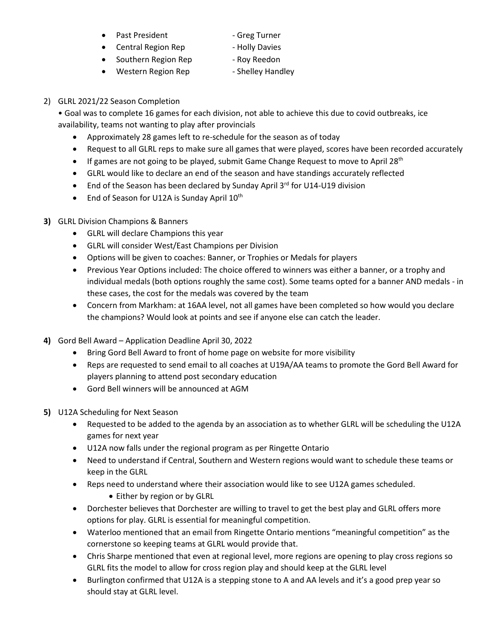- Past President Fig. 2014 Greg Turner
	-
- Central Region Rep Holly Davies
	-
- Western Region Rep Shelley Handley
- Southern Region Rep Roy Reedon
	- -
- 2) GLRL 2021/22 Season Completion

• Goal was to complete 16 games for each division, not able to achieve this due to covid outbreaks, ice availability, teams not wanting to play after provincials

- Approximately 28 games left to re-schedule for the season as of today
- Request to all GLRL reps to make sure all games that were played, scores have been recorded accurately
- If games are not going to be played, submit Game Change Request to move to April 28<sup>th</sup>
- GLRL would like to declare an end of the season and have standings accurately reflected
- End of the Season has been declared by Sunday April 3rd for U14-U19 division
- End of Season for U12A is Sunday April 10<sup>th</sup>

## **3)** GLRL Division Champions & Banners

- GLRL will declare Champions this year
- GLRL will consider West/East Champions per Division
- Options will be given to coaches: Banner, or Trophies or Medals for players
- Previous Year Options included: The choice offered to winners was either a banner, or a trophy and individual medals (both options roughly the same cost). Some teams opted for a banner AND medals - in these cases, the cost for the medals was covered by the team
- Concern from Markham: at 16AA level, not all games have been completed so how would you declare the champions? Would look at points and see if anyone else can catch the leader.
- **4)** Gord Bell Award Application Deadline April 30, 2022
	- Bring Gord Bell Award to front of home page on website for more visibility
	- Reps are requested to send email to all coaches at U19A/AA teams to promote the Gord Bell Award for players planning to attend post secondary education
	- Gord Bell winners will be announced at AGM
- **5)** U12A Scheduling for Next Season
	- Requested to be added to the agenda by an association as to whether GLRL will be scheduling the U12A games for next year
	- U12A now falls under the regional program as per Ringette Ontario
	- Need to understand if Central, Southern and Western regions would want to schedule these teams or keep in the GLRL
	- Reps need to understand where their association would like to see U12A games scheduled.
		- Either by region or by GLRL
	- Dorchester believes that Dorchester are willing to travel to get the best play and GLRL offers more options for play. GLRL is essential for meaningful competition.
	- Waterloo mentioned that an email from Ringette Ontario mentions "meaningful competition" as the cornerstone so keeping teams at GLRL would provide that.
	- Chris Sharpe mentioned that even at regional level, more regions are opening to play cross regions so GLRL fits the model to allow for cross region play and should keep at the GLRL level
	- Burlington confirmed that U12A is a stepping stone to A and AA levels and it's a good prep year so should stay at GLRL level.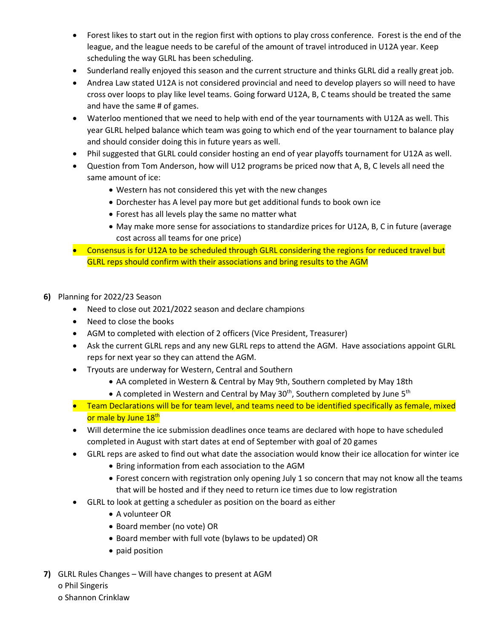- Forest likes to start out in the region first with options to play cross conference. Forest is the end of the league, and the league needs to be careful of the amount of travel introduced in U12A year. Keep scheduling the way GLRL has been scheduling.
- Sunderland really enjoyed this season and the current structure and thinks GLRL did a really great job.
- Andrea Law stated U12A is not considered provincial and need to develop players so will need to have cross over loops to play like level teams. Going forward U12A, B, C teams should be treated the same and have the same # of games.
- Waterloo mentioned that we need to help with end of the year tournaments with U12A as well. This year GLRL helped balance which team was going to which end of the year tournament to balance play and should consider doing this in future years as well.
- Phil suggested that GLRL could consider hosting an end of year playoffs tournament for U12A as well.
- Question from Tom Anderson, how will U12 programs be priced now that A, B, C levels all need the same amount of ice:
	- Western has not considered this yet with the new changes
	- Dorchester has A level pay more but get additional funds to book own ice
	- Forest has all levels play the same no matter what
	- May make more sense for associations to standardize prices for U12A, B, C in future (average cost across all teams for one price)
- Consensus is for U12A to be scheduled through GLRL considering the regions for reduced travel but GLRL reps should confirm with their associations and bring results to the AGM
- **6)** Planning for 2022/23 Season
	- Need to close out 2021/2022 season and declare champions
	- Need to close the books
	- AGM to completed with election of 2 officers (Vice President, Treasurer)
	- Ask the current GLRL reps and any new GLRL reps to attend the AGM. Have associations appoint GLRL reps for next year so they can attend the AGM.
	- Tryouts are underway for Western, Central and Southern
		- AA completed in Western & Central by May 9th, Southern completed by May 18th
		- A completed in Western and Central by May 30<sup>th</sup>, Southern completed by June 5<sup>th</sup>
	- Team Declarations will be for team level, and teams need to be identified specifically as female, mixed or male by June 18<sup>th</sup>
	- Will determine the ice submission deadlines once teams are declared with hope to have scheduled completed in August with start dates at end of September with goal of 20 games
	- GLRL reps are asked to find out what date the association would know their ice allocation for winter ice
		- Bring information from each association to the AGM
		- Forest concern with registration only opening July 1 so concern that may not know all the teams that will be hosted and if they need to return ice times due to low registration
	- GLRL to look at getting a scheduler as position on the board as either
		- A volunteer OR
		- Board member (no vote) OR
		- Board member with full vote (bylaws to be updated) OR
		- paid position
- **7)** GLRL Rules Changes Will have changes to present at AGM o Phil Singeris o Shannon Crinklaw